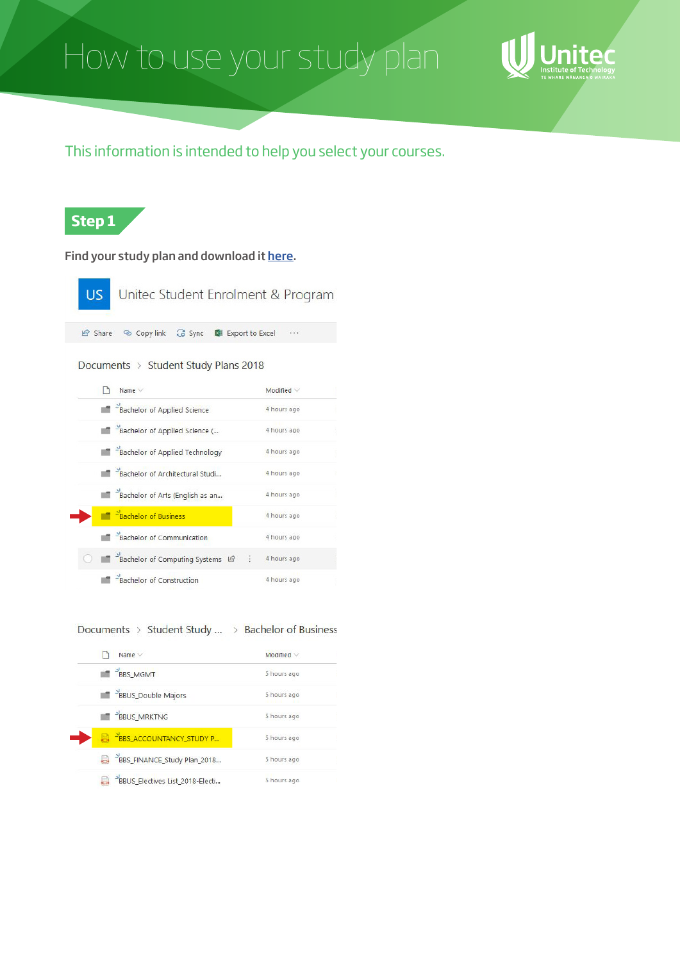# How to use your study plan



This information is intended to help you select your courses.

## **Step 1**

Find your study plan and download it [here.](https://unitecnz.sharepoint.com/:f:/s/USEPI/EhqW0uKthjdOp5FsOpcYZaAB7rCo_peZ7X8HWMM6t3IZvg)

| Unitec Student Enrolment & Program<br>US.             |             |
|-------------------------------------------------------|-------------|
| Share & Copy link & Sync <b>&amp;</b> Export to Excel |             |
| Documents $\rightarrow$ Student Study Plans 2018      |             |
| Name $\vee$                                           | Modified V  |
| Bachelor of Applied Science                           | 4 hours ago |
| Bachelor of Applied Science (                         | 4 hours ago |
| Bachelor of Applied Technology                        | 4 hours ago |
| Bachelor of Architectural Studi                       | 4 hours ago |
| Bachelor of Arts (English as an                       | 4 hours ago |
| <sup>2</sup> Bachelor of Business                     | 4 hours ago |
| -Bachelor of Communication                            | 4 hours ago |
| Bachelor of Computing Systems LA                      | 4 hours ago |
| -Bachelor of Construction                             | 4 hours ago |

#### Documents > Student Study ... > Bachelor of Business

| Name $\vee$                                  | Modified $\vee$ |
|----------------------------------------------|-----------------|
| BBS_MGMT                                     | 5 hours ago     |
| BBUS_Double Majors                           | 5 hours ago     |
| <b>BBUS_MRKTNG</b>                           | 5 hours ago     |
| B <sup>2</sup> BBS_ACCOUNTANCY_STUDY P       | 5 hours ago     |
| BBS_FINANCE_Study Plan_2018                  | 5 hours ago     |
| <sup>2</sup> BBUS_Electives List_2018-Electi | 5 hours ago     |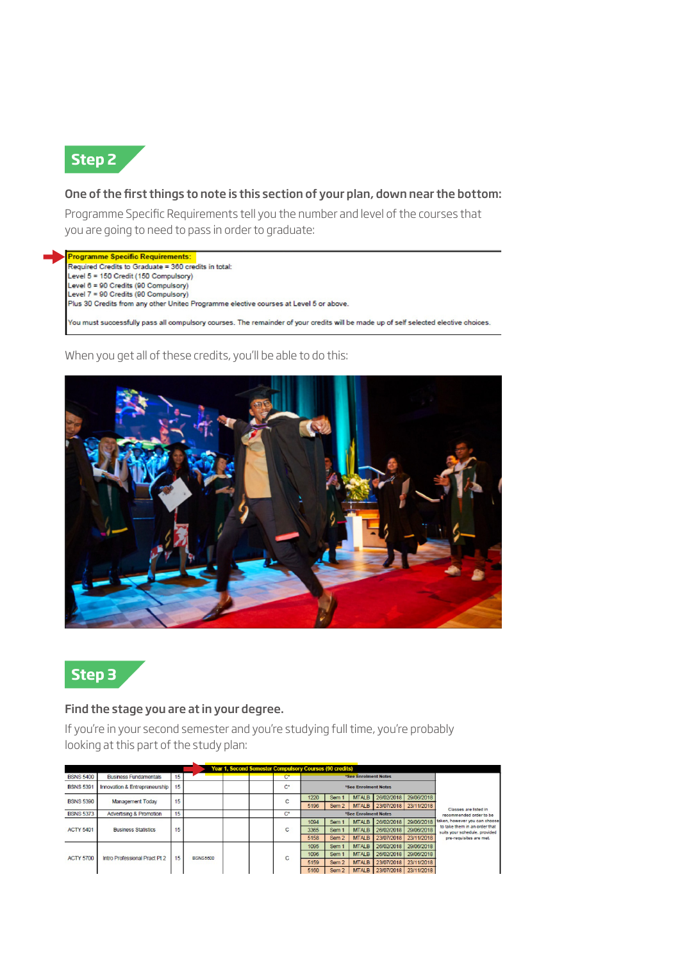

#### One of the first things to note is this section of your plan, down near the bottom:

Programme Specific Requirements tell you the number and level of the courses that you are going to need to pass in order to graduate:

Programme Specific Requirements: Required Credits to Graduate = 360 credits in total: Level 5 = 150 Credit (150 Compulsory) Level 6 = 90 Credits (90 Compulsory) Level 7 = 90 Credits (90 Compulsory) Plus 30 Credits from any other United Programme elective courses at Level 5 or above. .<br>You must successfully pass all compulsory courses. The remainder of your credits will be made up of self selected elective choices.

When you get all of these credits, you'll be able to do this:





#### Find the stage you are at in your degree.

If you're in your second semester and you're studying full time, you're probably looking at this part of the study plan:

| <b>Year 1, Second Semester Compulsory Courses (90 credits)</b> |                               |    |                 |  |                |                      |                  |                      |              |            |                                                                |  |      |                  |              |                       |
|----------------------------------------------------------------|-------------------------------|----|-----------------|--|----------------|----------------------|------------------|----------------------|--------------|------------|----------------------------------------------------------------|--|------|------------------|--------------|-----------------------|
| <b>BSNS 5400</b>                                               | <b>Business Fundamentals</b>  | 15 |                 |  | $\mathbf{C}^*$ | *See Enrolment Notes |                  |                      |              |            |                                                                |  |      |                  |              |                       |
| <b>BSNS 5391</b>                                               | Innovation & Entrepreneurship | 15 |                 |  | $\mathbf{C}^*$ |                      |                  | *See Enrolment Notes |              |            |                                                                |  |      |                  |              |                       |
| <b>BSNS 5390</b>                                               | <b>Management Today</b>       | 15 |                 |  | C              | 1220                 | Sem :            | <b>MTALB</b>         | 26/02/2018   | 29/06/2018 |                                                                |  |      |                  |              |                       |
|                                                                |                               |    |                 |  |                | 5196                 | Sem <sub>2</sub> | <b>MTALB</b>         | 23/07/2018   | 23/11/2018 | Classes are listed in                                          |  |      |                  |              |                       |
| <b>BSNS 5373</b>                                               | Advertising & Promotion       | 15 |                 |  | $\mathbf{C}^*$ | *See Enrolment Notes |                  |                      |              |            | recommended order to be                                        |  |      |                  |              |                       |
|                                                                |                               |    |                 |  |                | 1094                 | Sem <sub>1</sub> | <b>MTALB</b>         | 26/02/2018   | 29/06/2018 | taken, however you can choose                                  |  |      |                  |              |                       |
| <b>ACTY 5401</b>                                               | <b>Business Statistics</b>    | 15 |                 |  | С              | 3365                 | Sem <sub>1</sub> | <b>MTALB</b>         | 26/02/2018   | 29/06/2018 | to take them in an order that<br>suits your schedule, provided |  |      |                  |              |                       |
|                                                                |                               |    |                 |  |                | 5158                 | Sem <sub>2</sub> | <b>MTALB</b>         | 23/07/2018   | 23/11/2018 | pre-requisites are met.                                        |  |      |                  |              |                       |
|                                                                | Intro Professional Pract Pt 2 |    |                 |  |                |                      | 1095             | Sem 1                | <b>MTALB</b> | 26/02/2018 | 29/06/2018                                                     |  |      |                  |              |                       |
| <b>ACTY 5700</b>                                               |                               | 15 | <b>BSNS5600</b> |  | C              | 1096                 | Sem <sub>1</sub> | <b>MTALB</b>         | 26/02/2018   | 29/06/2018 |                                                                |  |      |                  |              |                       |
|                                                                |                               |    |                 |  |                | 5159                 | Sem <sub>2</sub> | <b>MTALB</b>         | 23/07/2018   | 23/11/2018 |                                                                |  |      |                  |              |                       |
|                                                                |                               |    |                 |  |                |                      |                  |                      |              |            |                                                                |  | 5160 | Sem <sub>2</sub> | <b>MTALB</b> | 23/07/2018 23/11/2018 |